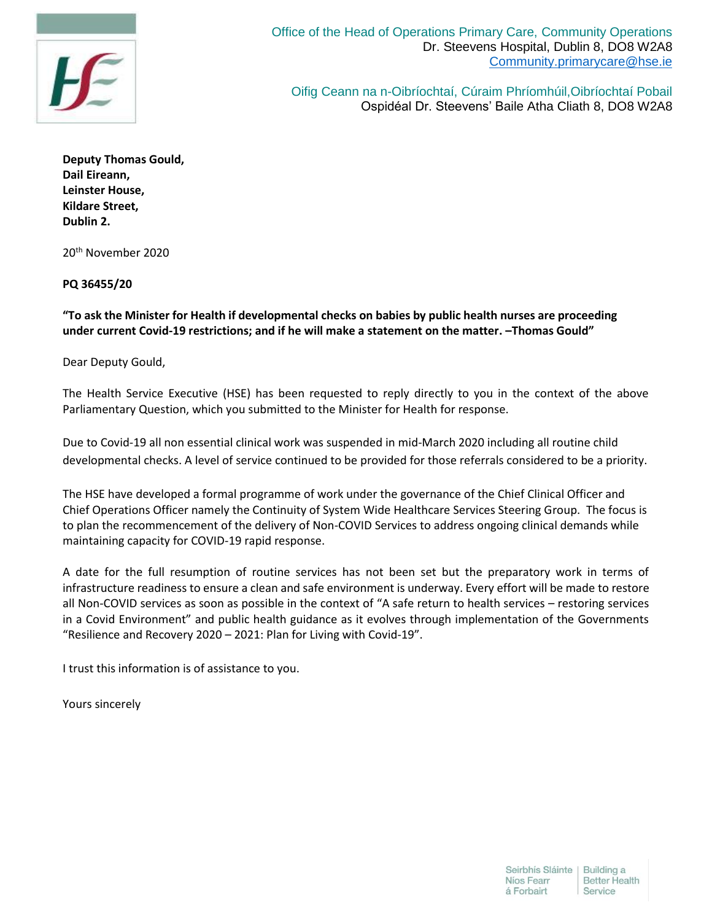

Oifig Ceann na n-Oibríochtaí, Cúraim Phríomhúil,Oibríochtaí Pobail Ospidéal Dr. Steevens' Baile Atha Cliath 8, DO8 W2A8

**Deputy Thomas Gould, Dail Eireann, Leinster House, Kildare Street, Dublin 2.**

20th November 2020

## **PQ 36455/20**

## **"To ask the Minister for Health if developmental checks on babies by public health nurses are proceeding under current Covid-19 restrictions; and if he will make a statement on the matter. –Thomas Gould"**

Dear Deputy Gould,

The Health Service Executive (HSE) has been requested to reply directly to you in the context of the above Parliamentary Question, which you submitted to the Minister for Health for response.

Due to Covid-19 all non essential clinical work was suspended in mid-March 2020 including all routine child developmental checks. A level of service continued to be provided for those referrals considered to be a priority.

The HSE have developed a formal programme of work under the governance of the Chief Clinical Officer and Chief Operations Officer namely the Continuity of System Wide Healthcare Services Steering Group. The focus is to plan the recommencement of the delivery of Non-COVID Services to address ongoing clinical demands while maintaining capacity for COVID-19 rapid response.

A date for the full resumption of routine services has not been set but the preparatory work in terms of infrastructure readiness to ensure a clean and safe environment is underway. Every effort will be made to restore all Non-COVID services as soon as possible in the context of "A safe return to health services – restoring services in a Covid Environment" and public health guidance as it evolves through implementation of the Governments "Resilience and Recovery 2020 – 2021: Plan for Living with Covid-19".

I trust this information is of assistance to you.

Yours sincerely